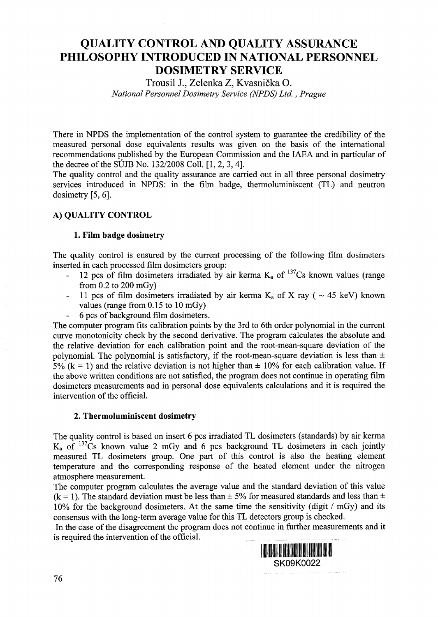# **QUALITY CONTROL AND QUALITY ASSURANCE PHILOSOPHY INTRODUCED IN NATIONAL PERSONNEL DOSIMETRY SERVICE**

**Trousil J., Zelenka Z, Kvasnička O.** *National Personnel Dosimetry Service (NPDS) Ltd., Prague*

There in NPDS the implementation of the control system to guarantee the credibility of the measured personal dose equivalents results was given on the basis of the international recommendations published by the European Commission and the IAEA and in particular of the decree of the SÚJB No.  $132/2008$  Coll. [1, 2, 3, 4].

The quality control and the quality assurance are carried out in all three personal dosimetry services introduced in NPDS: in the film badge, thermoluminiscent (TL) and neutron dosimetry [5, 6].

# **A) QUALITY CONTROL**

### **1. Film badge dosimetry**

The quality control is ensured by the current processing of the following film dosimeters inserted in each processed film dosimeters group:

- 12 pcs of film dosimeters irradiated by air kerma  $K_a$  of  $13\degree$ Cs known values (range from 0.2 to 200 mGy)
- 11 pcs of film dosimeters irradiated by air kerma  $K_a$  of X ray (  $\sim$  45 keV) known values (range from 0.15 to 10 mGy)
- 6 pcs of background film dosimeters.

The computer program fits calibration points by the 3rd to 6th order polynomial in the current curve monotonicity check by the second derivative. The program calculates the absolute and the relative deviation for each calibration point and the root-mean-square deviation of the polynomial. The polynomial is satisfactory, if the root-mean-square deviation is less than  $\pm$  $5\%$  (k = 1) and the relative deviation is not higher than  $\pm$  10% for each calibration value. If the above written conditions are not satisfied, the program does not continue in operating film dosimeters measurements and in personal dose equivalents calculations and it is required the intervention of the official.

#### **2. Thermoluminiscent dosimetry**

The quality control is based on insert 6 pcs irradiated TL dosimeters (standards) by air kerma  $K_a$  of  $137Cs$  known value 2 mGy and 6 pcs background TL dosimeters in each jointly measured TL dosimeters group. One part of this control is also the heating element temperature and the corresponding response of the heated element under the nitrogen atmosphere measurement.

The computer program calculates the average value and the standard deviation of this value (k = 1). The standard deviation must be less than  $\pm$  5% for measured standards and less than  $\pm$ 10% for the background dosimeters. At the same time the sensitivity (digit / mGy) and its consensus with the long-term average value for this TL detectors group is checked.

In the case of the disagreement the program does not continue in further measurements and it is required the intervention of the official.